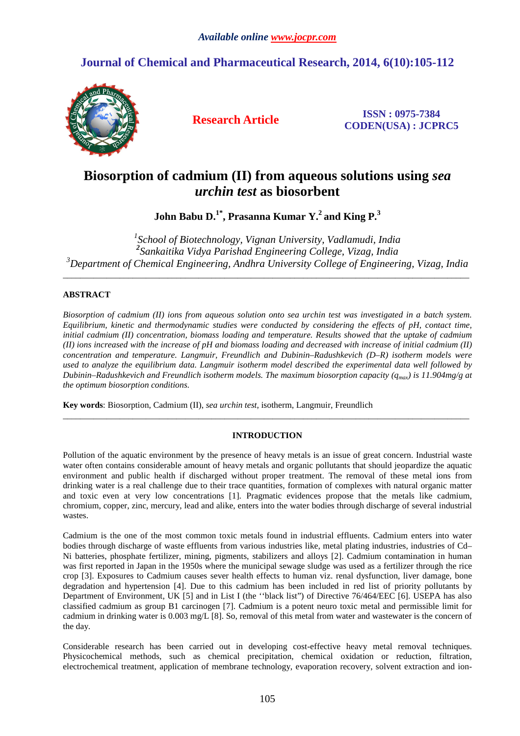# **Journal of Chemical and Pharmaceutical Research, 2014, 6(10):105-112**



**Research Article ISSN : 0975-7384 CODEN(USA) : JCPRC5**

# **Biosorption of cadmium (II) from aqueous solutions using** *sea urchin test* **as biosorbent**

**John Babu D.1\*, Prasanna Kumar Y.<sup>2</sup>and King P.<sup>3</sup>** 

*1 School of Biotechnology, Vignan University, Vadlamudi, India 2 Sankaitika Vidya Parishad Engineering College, Vizag, India <sup>3</sup>Department of Chemical Engineering, Andhra University College of Engineering, Vizag, India* 

 $\overline{a}$  , and the contribution of the contribution of the contribution of the contribution of the contribution of the contribution of the contribution of the contribution of the contribution of the contribution of the co

# **ABSTRACT**

*Biosorption of cadmium (II) ions from aqueous solution onto sea urchin test was investigated in a batch system. Equilibrium, kinetic and thermodynamic studies were conducted by considering the effects of pH, contact time, initial cadmium (II) concentration, biomass loading and temperature. Results showed that the uptake of cadmium (II) ions increased with the increase of pH and biomass loading and decreased with increase of initial cadmium (II) concentration and temperature. Langmuir, Freundlich and Dubinin–Radushkevich (D–R) isotherm models were used to analyze the equilibrium data. Langmuir isotherm model described the experimental data well followed by Dubinin–Radushkevich and Freundlich isotherm models. The maximum biosorption capacity (qmax) is 11.904mg/g at the optimum biosorption conditions.* 

**Key words**: Biosorption, Cadmium (II), *sea urchin test*, isotherm, Langmuir, Freundlich

# **INTRODUCTION**

\_\_\_\_\_\_\_\_\_\_\_\_\_\_\_\_\_\_\_\_\_\_\_\_\_\_\_\_\_\_\_\_\_\_\_\_\_\_\_\_\_\_\_\_\_\_\_\_\_\_\_\_\_\_\_\_\_\_\_\_\_\_\_\_\_\_\_\_\_\_\_\_\_\_\_\_\_\_\_\_\_\_\_\_\_\_\_\_\_\_\_\_\_

Pollution of the aquatic environment by the presence of heavy metals is an issue of great concern. Industrial waste water often contains considerable amount of heavy metals and organic pollutants that should jeopardize the aquatic environment and public health if discharged without proper treatment. The removal of these metal ions from drinking water is a real challenge due to their trace quantities, formation of complexes with natural organic matter and toxic even at very low concentrations [1]. Pragmatic evidences propose that the metals like cadmium, chromium, copper, zinc, mercury, lead and alike, enters into the water bodies through discharge of several industrial wastes.

Cadmium is the one of the most common toxic metals found in industrial effluents. Cadmium enters into water bodies through discharge of waste effluents from various industries like, metal plating industries, industries of Cd– Ni batteries, phosphate fertilizer, mining, pigments, stabilizers and alloys [2]. Cadmium contamination in human was first reported in Japan in the 1950s where the municipal sewage sludge was used as a fertilizer through the rice crop [3]. Exposures to Cadmium causes sever health effects to human viz. renal dysfunction, liver damage, bone degradation and hypertension [4]. Due to this cadmium has been included in red list of priority pollutants by Department of Environment, UK [5] and in List I (the ''black list") of Directive 76/464/EEC [6]. USEPA has also classified cadmium as group B1 carcinogen [7]. Cadmium is a potent neuro toxic metal and permissible limit for cadmium in drinking water is 0.003 mg/L [8]. So, removal of this metal from water and wastewater is the concern of the day.

Considerable research has been carried out in developing cost-effective heavy metal removal techniques. Physicochemical methods, such as chemical precipitation, chemical oxidation or reduction, filtration, electrochemical treatment, application of membrane technology, evaporation recovery, solvent extraction and ion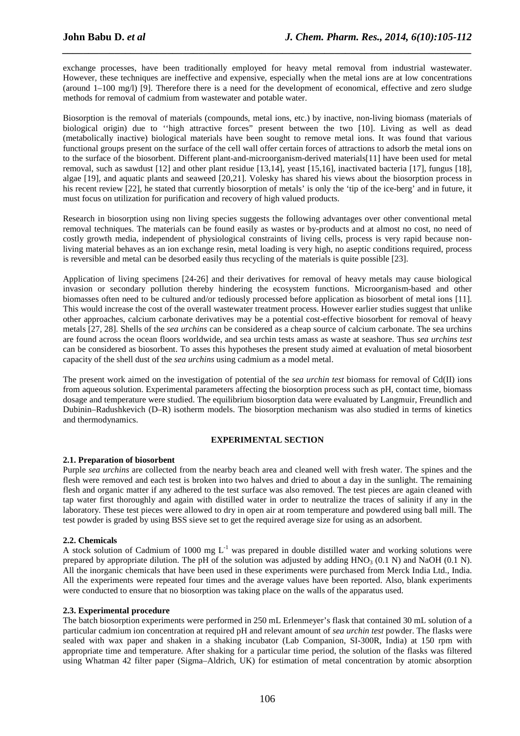exchange processes, have been traditionally employed for heavy metal removal from industrial wastewater. However, these techniques are ineffective and expensive, especially when the metal ions are at low concentrations (around 1–100 mg/l) [9]. Therefore there is a need for the development of economical, effective and zero sludge methods for removal of cadmium from wastewater and potable water.

*\_\_\_\_\_\_\_\_\_\_\_\_\_\_\_\_\_\_\_\_\_\_\_\_\_\_\_\_\_\_\_\_\_\_\_\_\_\_\_\_\_\_\_\_\_\_\_\_\_\_\_\_\_\_\_\_\_\_\_\_\_\_\_\_\_\_\_\_\_\_\_\_\_\_\_\_\_\_*

Biosorption is the removal of materials (compounds, metal ions, etc.) by inactive, non-living biomass (materials of biological origin) due to ''high attractive forces" present between the two [10]. Living as well as dead (metabolically inactive) biological materials have been sought to remove metal ions. It was found that various functional groups present on the surface of the cell wall offer certain forces of attractions to adsorb the metal ions on to the surface of the biosorbent. Different plant-and-microorganism-derived materials[11] have been used for metal removal, such as sawdust [12] and other plant residue [13,14], yeast [15,16], inactivated bacteria [17], fungus [18], algae [19], and aquatic plants and seaweed [20,21]. Volesky has shared his views about the biosorption process in his recent review [22], he stated that currently biosorption of metals' is only the 'tip of the ice-berg' and in future, it must focus on utilization for purification and recovery of high valued products.

Research in biosorption using non living species suggests the following advantages over other conventional metal removal techniques. The materials can be found easily as wastes or by-products and at almost no cost, no need of costly growth media, independent of physiological constraints of living cells, process is very rapid because nonliving material behaves as an ion exchange resin, metal loading is very high, no aseptic conditions required, process is reversible and metal can be desorbed easily thus recycling of the materials is quite possible [23].

Application of living specimens [24-26] and their derivatives for removal of heavy metals may cause biological invasion or secondary pollution thereby hindering the ecosystem functions. Microorganism-based and other biomasses often need to be cultured and/or tediously processed before application as biosorbent of metal ions [11]. This would increase the cost of the overall wastewater treatment process. However earlier studies suggest that unlike other approaches, calcium carbonate derivatives may be a potential cost-effective biosorbent for removal of heavy metals [27, 28]. Shells of the *sea urchins* can be considered as a cheap source of calcium carbonate. The sea urchins are found across the ocean floors worldwide, and sea urchin tests amass as waste at seashore. Thus *sea urchins test* can be considered as biosorbent. To asses this hypotheses the present study aimed at evaluation of metal biosorbent capacity of the shell dust of the *sea urchins* using cadmium as a model metal.

The present work aimed on the investigation of potential of the *sea urchin test* biomass for removal of Cd(II) ions from aqueous solution. Experimental parameters affecting the biosorption process such as pH, contact time, biomass dosage and temperature were studied. The equilibrium biosorption data were evaluated by Langmuir, Freundlich and Dubinin–Radushkevich (D–R) isotherm models. The biosorption mechanism was also studied in terms of kinetics and thermodynamics.

## **EXPERIMENTAL SECTION**

## **2.1. Preparation of biosorbent**

Purple *sea urchins* are collected from the nearby beach area and cleaned well with fresh water. The spines and the flesh were removed and each test is broken into two halves and dried to about a day in the sunlight. The remaining flesh and organic matter if any adhered to the test surface was also removed. The test pieces are again cleaned with tap water first thoroughly and again with distilled water in order to neutralize the traces of salinity if any in the laboratory. These test pieces were allowed to dry in open air at room temperature and powdered using ball mill. The test powder is graded by using BSS sieve set to get the required average size for using as an adsorbent.

## **2.2. Chemicals**

A stock solution of Cadmium of 1000 mg  $L^{-1}$  was prepared in double distilled water and working solutions were prepared by appropriate dilution. The pH of the solution was adjusted by adding  $HNO<sub>3</sub> (0.1 N)$  and NaOH (0.1 N). All the inorganic chemicals that have been used in these experiments were purchased from Merck India Ltd., India. All the experiments were repeated four times and the average values have been reported. Also, blank experiments were conducted to ensure that no biosorption was taking place on the walls of the apparatus used.

#### **2.3. Experimental procedure**

The batch biosorption experiments were performed in 250 mL Erlenmeyer's flask that contained 30 mL solution of a particular cadmium ion concentration at required pH and relevant amount of *sea urchin test* powder. The flasks were sealed with wax paper and shaken in a shaking incubator (Lab Companion, SI-300R, India) at 150 rpm with appropriate time and temperature. After shaking for a particular time period, the solution of the flasks was filtered using Whatman 42 filter paper (Sigma–Aldrich, UK) for estimation of metal concentration by atomic absorption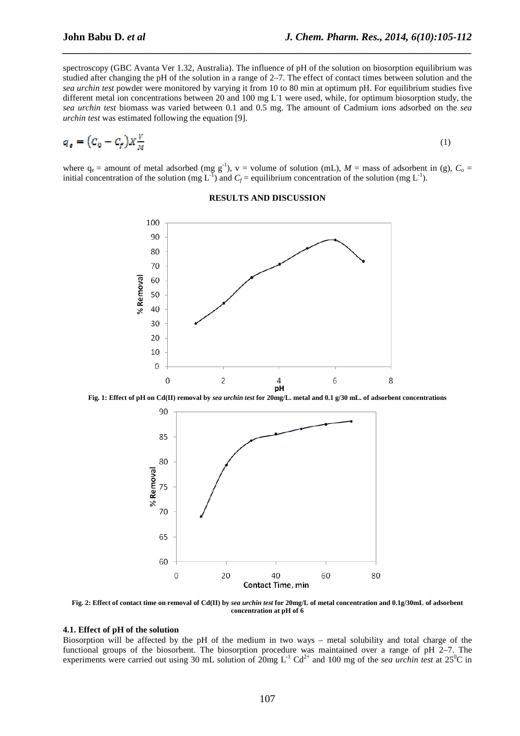spectroscopy (GBC Avanta Ver 1.32, Australia). The influence of pH of the solution on biosorption equilibrium was studied after changing the pH of the solution in a range of 2–7. The effect of contact times between solution and the *sea urchin test* powder were monitored by varying it from 10 to 80 min at optimum pH. For equilibrium studies five different metal ion concentrations between 20 and 100 mg L1 were used, while, for optimum biosorption study, the *sea urchin test* biomass was varied between 0.1 and 0.5 mg. The amount of Cadmium ions adsorbed on the *sea urchin test* was estimated following the equation [9].

*\_\_\_\_\_\_\_\_\_\_\_\_\_\_\_\_\_\_\_\_\_\_\_\_\_\_\_\_\_\_\_\_\_\_\_\_\_\_\_\_\_\_\_\_\_\_\_\_\_\_\_\_\_\_\_\_\_\_\_\_\_\_\_\_\_\_\_\_\_\_\_\_\_\_\_\_\_\_*

$$
q_{\epsilon} = \left(C_0 - C_f\right) X \frac{V}{M} \tag{1}
$$

where  $q_e$  = amount of metal adsorbed (mg g<sup>-1</sup>), v = volume of solution (mL),  $M$  = mass of adsorbent in (g),  $C_o$  = initial concentration of the solution (mg  $L^{-1}$ ) and  $C_f$  = equilibrium concentration of the solution (mg  $L^{-1}$ ).

#### **RESULTS AND DISCUSSION**



**Fig. 1: Effect of pH on Cd(II) removal by** *sea urchin test* **for 20mg/L. metal and 0.1 g/30 mL. of adsorbent concentrations** 



**Fig. 2: Effect of contact time on removal of Cd(II) by** *sea urchin test* **for 20mg/L of metal concentration and 0.1g/30mL of adsorbent concentration at pH of 6** 

## **4.1. Effect of pH of the solution**

Biosorption will be affected by the pH of the medium in two ways – metal solubility and total charge of the functional groups of the biosorbent. The biosorption procedure was maintained over a range of pH 2–7. The experiments were carried out using 30 mL solution of  $20mg L^{-1} Cd^{2+}$  and 100 mg of the *sea urchin test* at  $25^{0}C$  in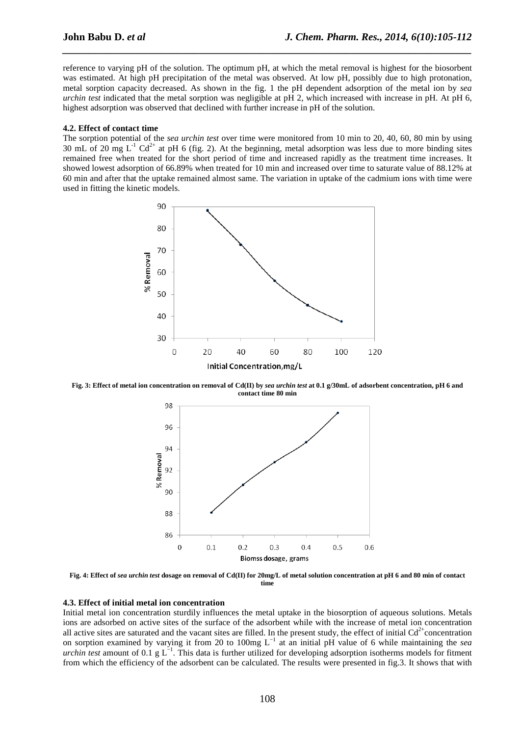reference to varying pH of the solution. The optimum pH, at which the metal removal is highest for the biosorbent was estimated. At high pH precipitation of the metal was observed. At low pH, possibly due to high protonation, metal sorption capacity decreased. As shown in the fig. 1 the pH dependent adsorption of the metal ion by *sea urchin test* indicated that the metal sorption was negligible at pH 2, which increased with increase in pH. At pH 6, highest adsorption was observed that declined with further increase in pH of the solution.

*\_\_\_\_\_\_\_\_\_\_\_\_\_\_\_\_\_\_\_\_\_\_\_\_\_\_\_\_\_\_\_\_\_\_\_\_\_\_\_\_\_\_\_\_\_\_\_\_\_\_\_\_\_\_\_\_\_\_\_\_\_\_\_\_\_\_\_\_\_\_\_\_\_\_\_\_\_\_*

#### **4.2. Effect of contact time**

The sorption potential of the *sea urchin test* over time were monitored from 10 min to 20, 40, 60, 80 min by using 30 mL of 20 mg  $L^{-1}$  Cd<sup>2+</sup> at pH 6 (fig. 2). At the beginning, metal adsorption was less due to more binding sites remained free when treated for the short period of time and increased rapidly as the treatment time increases. It showed lowest adsorption of 66.89% when treated for 10 min and increased over time to saturate value of 88.12% at 60 min and after that the uptake remained almost same. The variation in uptake of the cadmium ions with time were used in fitting the kinetic models.



**Fig. 3: Effect of metal ion concentration on removal of Cd(II) by** *sea urchin test* **at 0.1 g/30mL of adsorbent concentration, pH 6 and contact time 80 min** 



**Fig. 4: Effect of** *sea urchin test* **dosage on removal of Cd(II) for 20mg/L of metal solution concentration at pH 6 and 80 min of contact time** 

#### **4.3. Effect of initial metal ion concentration**

Initial metal ion concentration sturdily influences the metal uptake in the biosorption of aqueous solutions. Metals ions are adsorbed on active sites of the surface of the adsorbent while with the increase of metal ion concentration all active sites are saturated and the vacant sites are filled. In the present study, the effect of initial  $Cd<sup>2+</sup>$ concentration on sorption examined by varying it from 20 to 100mg L<sup>-1</sup> at an initial pH value of 6 while maintaining the *sea urchin test* amount of 0.1 g  $L^{-1}$ . This data is further utilized for developing adsorption isotherms models for fitment from which the efficiency of the adsorbent can be calculated. The results were presented in fig.3. It shows that with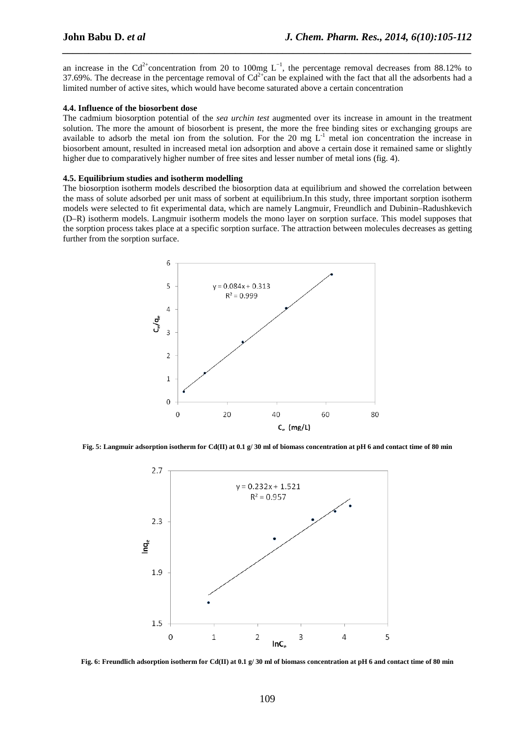an increase in the Cd<sup>2+</sup>concentration from 20 to 100mg  $L^{-1}$ , the percentage removal decreases from 88.12% to 37.69%. The decrease in the percentage removal of  $Cd^{2+}$ can be explained with the fact that all the adsorbents had a limited number of active sites, which would have become saturated above a certain concentration

*\_\_\_\_\_\_\_\_\_\_\_\_\_\_\_\_\_\_\_\_\_\_\_\_\_\_\_\_\_\_\_\_\_\_\_\_\_\_\_\_\_\_\_\_\_\_\_\_\_\_\_\_\_\_\_\_\_\_\_\_\_\_\_\_\_\_\_\_\_\_\_\_\_\_\_\_\_\_*

#### **4.4. Influence of the biosorbent dose**

The cadmium biosorption potential of the *sea urchin test* augmented over its increase in amount in the treatment solution. The more the amount of biosorbent is present, the more the free binding sites or exchanging groups are available to adsorb the metal ion from the solution. For the 20 mg  $L^{-1}$  metal ion concentration the increase in biosorbent amount, resulted in increased metal ion adsorption and above a certain dose it remained same or slightly higher due to comparatively higher number of free sites and lesser number of metal ions (fig. 4).

#### **4.5. Equilibrium studies and isotherm modelling**

The biosorption isotherm models described the biosorption data at equilibrium and showed the correlation between the mass of solute adsorbed per unit mass of sorbent at equilibrium.In this study, three important sorption isotherm models were selected to fit experimental data, which are namely Langmuir, Freundlich and Dubinin–Radushkevich (D–R) isotherm models. Langmuir isotherm models the mono layer on sorption surface. This model supposes that the sorption process takes place at a specific sorption surface. The attraction between molecules decreases as getting further from the sorption surface.



**Fig. 5: Langmuir adsorption isotherm for Cd(II) at 0.1 g/ 30 ml of biomass concentration at pH 6 and contact time of 80 min** 



**Fig. 6: Freundlich adsorption isotherm for Cd(II) at 0.1 g/ 30 ml of biomass concentration at pH 6 and contact time of 80 min**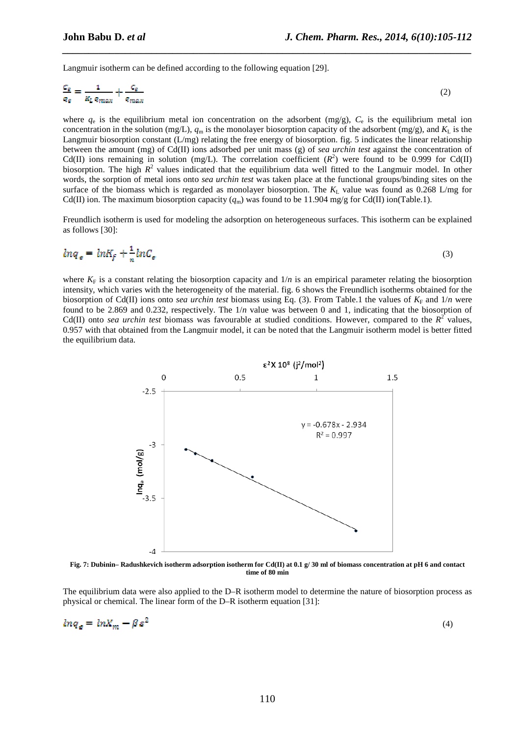Langmuir isotherm can be defined according to the following equation [29].

$$
\frac{c_{\varepsilon}}{q_{\varepsilon}} = \frac{1}{k_L q_{max}} + \frac{c_{\varepsilon}}{q_{max}}
$$
(2)

*\_\_\_\_\_\_\_\_\_\_\_\_\_\_\_\_\_\_\_\_\_\_\_\_\_\_\_\_\_\_\_\_\_\_\_\_\_\_\_\_\_\_\_\_\_\_\_\_\_\_\_\_\_\_\_\_\_\_\_\_\_\_\_\_\_\_\_\_\_\_\_\_\_\_\_\_\_\_*

where  $q_e$  is the equilibrium metal ion concentration on the adsorbent (mg/g),  $C_e$  is the equilibrium metal ion concentration in the solution (mg/L),  $q_m$  is the monolayer biosorption capacity of the adsorbent (mg/g), and  $K_L$  is the Langmuir biosorption constant (L/mg) relating the free energy of biosorption. fig. 5 indicates the linear relationship between the amount (mg) of Cd(II) ions adsorbed per unit mass (g) of *sea urchin test* against the concentration of Cd(II) ions remaining in solution (mg/L). The correlation coefficient  $(R^2)$  were found to be 0.999 for Cd(II) biosorption. The high  $R^2$  values indicated that the equilibrium data well fitted to the Langmuir model. In other words, the sorption of metal ions onto *sea urchin test* was taken place at the functional groups/binding sites on the surface of the biomass which is regarded as monolayer biosorption. The  $K_L$  value was found as 0.268 L/mg for Cd(II) ion. The maximum biosorption capacity ( $q_m$ ) was found to be 11.904 mg/g for Cd(II) ion(Table.1).

Freundlich isotherm is used for modeling the adsorption on heterogeneous surfaces. This isotherm can be explained as follows [30]:

$$
ln q_{\epsilon} = ln K_f + \frac{1}{n} ln C_{\epsilon}
$$
\n(3)

where  $K_F$  is a constant relating the biosorption capacity and  $1/n$  is an empirical parameter relating the biosorption intensity, which varies with the heterogeneity of the material. fig. 6 shows the Freundlich isotherms obtained for the biosorption of Cd(II) ions onto *sea urchin test* biomass using Eq. (3). From Table.1 the values of  $K_F$  and  $1/n$  were found to be 2.869 and 0.232, respectively. The 1/*n* value was between 0 and 1, indicating that the biosorption of Cd(II) onto *sea urchin test* biomass was favourable at studied conditions. However, compared to the  $R^2$  values, 0.957 with that obtained from the Langmuir model, it can be noted that the Langmuir isotherm model is better fitted the equilibrium data.



**Fig. 7: Dubinin– Radushkevich isotherm adsorption isotherm for Cd(II) at 0.1 g/ 30 ml of biomass concentration at pH 6 and contact time of 80 min** 

The equilibrium data were also applied to the D–R isotherm model to determine the nature of biosorption process as physical or chemical. The linear form of the D–R isotherm equation [31]:

$$
ln q_e = ln X_m - \beta z^2
$$

(4)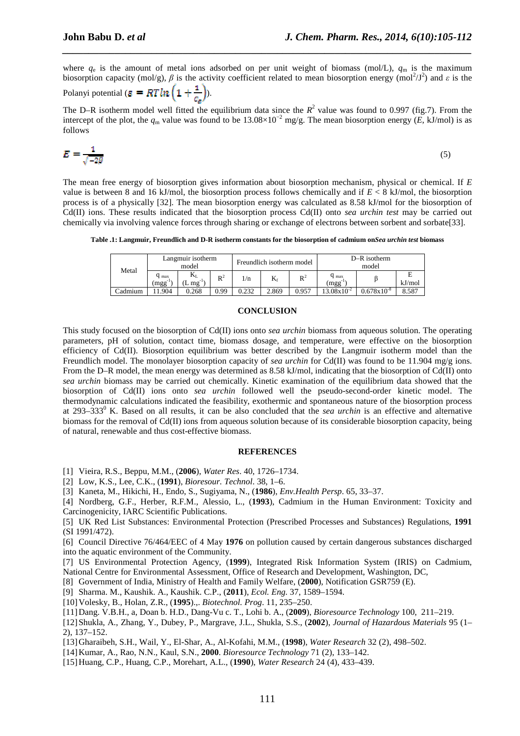where  $q_e$  is the amount of metal ions adsorbed on per unit weight of biomass (mol/L),  $q_m$  is the maximum biosorption capacity (mol/g),  $\beta$  is the activity coefficient related to mean biosorption energy (mol<sup>2</sup>/J<sup>2</sup>) and  $\varepsilon$  is the

*\_\_\_\_\_\_\_\_\_\_\_\_\_\_\_\_\_\_\_\_\_\_\_\_\_\_\_\_\_\_\_\_\_\_\_\_\_\_\_\_\_\_\_\_\_\_\_\_\_\_\_\_\_\_\_\_\_\_\_\_\_\_\_\_\_\_\_\_\_\_\_\_\_\_\_\_\_\_*

Polanyi potential ( $\varepsilon = RTln\left(1+\frac{1}{c_{\varepsilon}}\right)$ ).

The D–R isotherm model well fitted the equilibrium data since the  $R^2$  value was found to 0.997 (fig.7). From the intercept of the plot, the  $q_m$  value was found to be  $13.08 \times 10^{-2}$  mg/g. The mean biosorption energy (*E*, kJ/mol) is as follows

$$
E = \frac{1}{\sqrt{-2\beta}}\tag{5}
$$

The mean free energy of biosorption gives information about biosorption mechanism, physical or chemical. If *E*  value is between 8 and 16 kJ/mol, the biosorption process follows chemically and if *E* < 8 kJ/mol, the biosorption process is of a physically [32]. The mean biosorption energy was calculated as 8.58 kJ/mol for the biosorption of Cd(II) ions. These results indicated that the biosorption process Cd(II) onto *sea urchin test* may be carried out chemically via involving valence forces through sharing or exchange of electrons between sorbent and sorbate[33].

**Table .1: Langmuir, Freundlich and D-R isotherm constants for the biosorption of cadmium on***Sea urchin test* **biomass**

| Metal   | Langmuir isotherm<br>model       |                                         |       | Freundlich isotherm model |              |       | $D-R$ isotherm<br>model          |                            |        |
|---------|----------------------------------|-----------------------------------------|-------|---------------------------|--------------|-------|----------------------------------|----------------------------|--------|
|         | $q_{\text{max}}$<br>$(mgg^{-1})$ | $\mathbf{v}$<br>$\sim$ mg <sup>-1</sup> | $R^2$ | 1/n                       | $\mathbf{r}$ | $R^2$ | $q_{\text{max}}$<br>$(mgg^{-1})$ |                            | kJ/mol |
| Cadmium | 1.904                            | 0.268                                   | 0.99  | 0.232                     | 2.869        | 0.957 | $3.08 \times 10^{-2}$            | $J.\overline{678}x10^{-8}$ | 8.587  |

#### **CONCLUSION**

This study focused on the biosorption of Cd(II) ions onto *sea urchin* biomass from aqueous solution. The operating parameters, pH of solution, contact time, biomass dosage, and temperature, were effective on the biosorption efficiency of Cd(II). Biosorption equilibrium was better described by the Langmuir isotherm model than the Freundlich model. The monolayer biosorption capacity of *sea urchin* for Cd(II) was found to be 11.904 mg/g ions. From the D–R model, the mean energy was determined as 8.58 kJ/mol, indicating that the biosorption of Cd(II) onto *sea urchin* biomass may be carried out chemically. Kinetic examination of the equilibrium data showed that the biosorption of Cd(II) ions onto *sea urchin* followed well the pseudo-second-order kinetic model. The thermodynamic calculations indicated the feasibility, exothermic and spontaneous nature of the biosorption process at 293–333<sup>0</sup> K. Based on all results, it can be also concluded that the *sea urchin* is an effective and alternative biomass for the removal of Cd(II) ions from aqueous solution because of its considerable biosorption capacity, being of natural, renewable and thus cost-effective biomass.

#### **REFERENCES**

- [1] Vieira, R.S., Beppu, M.M., (**2006**), *Water Res*. 40, 1726–1734.
- [2] Low, K.S., Lee, C.K., (**1991**), *Bioresour. Technol*. 38, 1–6.
- [3] Kaneta, M., Hikichi, H., Endo, S., Sugiyama, N., (**1986**), *Env.Health Persp*. 65, 33–37.
- [4] Nordberg, G.F., Herber, R.F.M., Alessio, L., (**1993**), Cadmium in the Human Environment: Toxicity and Carcinogenicity, IARC Scientific Publications.
- [5] UK Red List Substances: Environmental Protection (Prescribed Processes and Substances) Regulations, **1991** (SI 1991/472).
- [6] Council Directive 76/464/EEC of 4 May **1976** on pollution caused by certain dangerous substances discharged into the aquatic environment of the Community.
- [7] US Environmental Protection Agency, (**1999**), Integrated Risk Information System (IRIS) on Cadmium, National Centre for Environmental Assessment, Office of Research and Development, Washington, DC,
- [8] Government of India, Ministry of Health and Family Welfare, (**2000**), Notification GSR759 (E).
- [9] Sharma. M., Kaushik. A., Kaushik. C.P., (**2011**), *Ecol. Eng.* 37, 1589–1594.
- [10]Volesky, B., Holan, Z.R., (**1995**).,. *Biotechnol. Prog*. 11, 235–250.
- [11]Dang. V.B.H., a, Doan b. H.D., Dang-Vu c. T., Lohi b. A., (**2009**), *Bioresource Technology* 100, 211–219.
- [12]Shukla, A., Zhang, Y., Dubey, P., Margrave, J.L., Shukla, S.S., (**2002**), *Journal of Hazardous Materials* 95 (1– 2), 137–152.
- [13]Gharaibeh, S.H., Wail, Y., El-Shar, A., Al-Kofahi, M.M., (**1998**), *Water Research* 32 (2), 498–502.
- [14]Kumar, A., Rao, N.N., Kaul, S.N., **2000**. *Bioresource Technology* 71 (2), 133–142.
- [15]Huang, C.P., Huang, C.P., Morehart, A.L., (**1990**), *Water Research* 24 (4), 433–439.